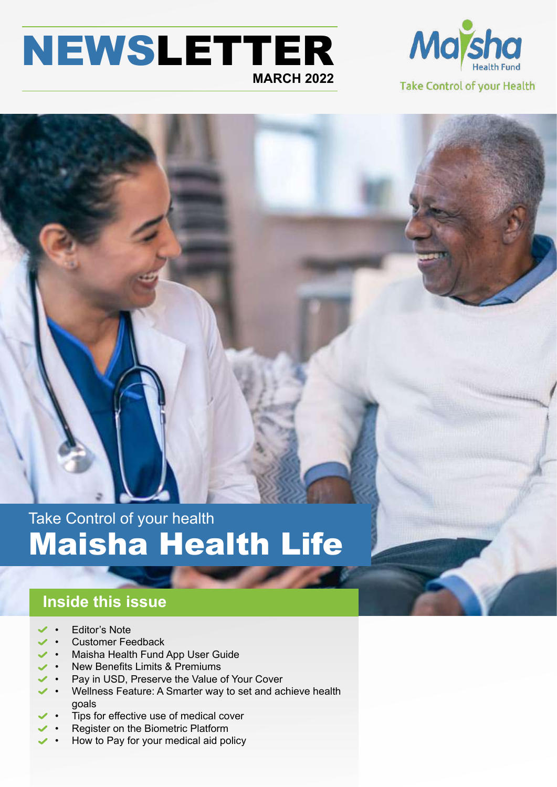# NEWSLETTER **MARCH 2022**



Take Control of your health Maisha Health Life

# **Inside this issue**

- Editor's Note
- Customer Feedback
- Maisha Health Fund App User Guide
- New Benefits Limits & Premiums
- Pay in USD, Preserve the Value of Your Cover
- Wellness Feature: A Smarter way to set and achieve health goals
- Tips for effective use of medical cover
- Register on the Biometric Platform
- How to Pay for your medical aid policy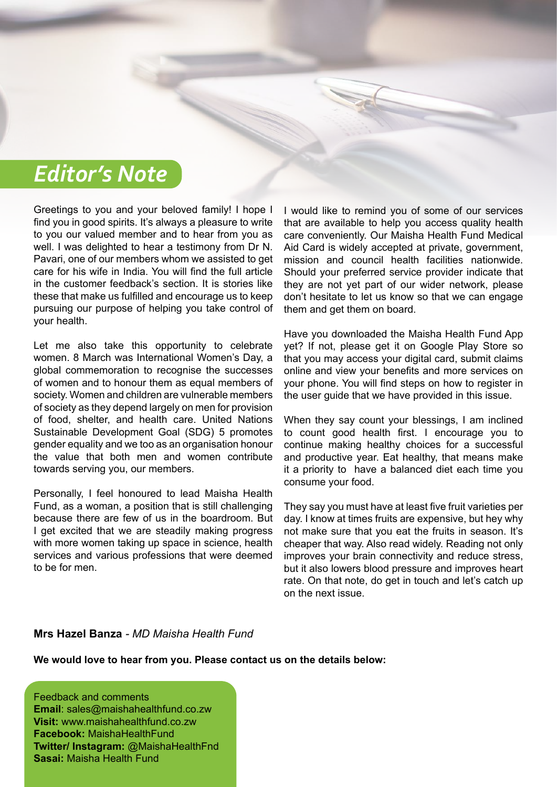# *Editor's Note*

Greetings to you and your beloved family! I hope I find you in good spirits. It's always a pleasure to write to you our valued member and to hear from you as well. I was delighted to hear a testimony from Dr N. Pavari, one of our members whom we assisted to get care for his wife in India. You will find the full article in the customer feedback's section. It is stories like these that make us fulfilled and encourage us to keep pursuing our purpose of helping you take control of your health.

Let me also take this opportunity to celebrate women. 8 March was International Women's Day, a global commemoration to recognise the successes of women and to honour them as equal members of society. Women and children are vulnerable members of society as they depend largely on men for provision of food, shelter, and health care. United Nations Sustainable Development Goal (SDG) 5 promotes gender equality and we too as an organisation honour the value that both men and women contribute towards serving you, our members.

Personally, I feel honoured to lead Maisha Health Fund, as a woman, a position that is still challenging because there are few of us in the boardroom. But I get excited that we are steadily making progress with more women taking up space in science, health services and various professions that were deemed to be for men

I would like to remind you of some of our services that are available to help you access quality health care conveniently. Our Maisha Health Fund Medical Aid Card is widely accepted at private, government, mission and council health facilities nationwide. Should your preferred service provider indicate that they are not yet part of our wider network, please don't hesitate to let us know so that we can engage them and get them on board.

Have you downloaded the Maisha Health Fund App yet? If not, please get it on Google Play Store so that you may access your digital card, submit claims online and view your benefits and more services on your phone. You will find steps on how to register in the user guide that we have provided in this issue.

When they say count your blessings, I am inclined to count good health first. I encourage you to continue making healthy choices for a successful and productive year. Eat healthy, that means make it a priority to have a balanced diet each time you consume your food.

They say you must have at least five fruit varieties per day. I know at times fruits are expensive, but hey why not make sure that you eat the fruits in season. It's cheaper that way. Also read widely. Reading not only improves your brain connectivity and reduce stress, but it also lowers blood pressure and improves heart rate. On that note, do get in touch and let's catch up on the next issue.

#### **Mrs Hazel Banza** *- MD Maisha Health Fund*

**We would love to hear from you. Please contact us on the details below:**

Feedback and comments **Email**: sales@maishahealthfund.co.zw **Visit:** www.maishahealthfund.co.zw **Facebook:** MaishaHealthFund **Twitter/ Instagram:** @MaishaHealthFnd **Sasai:** Maisha Health Fund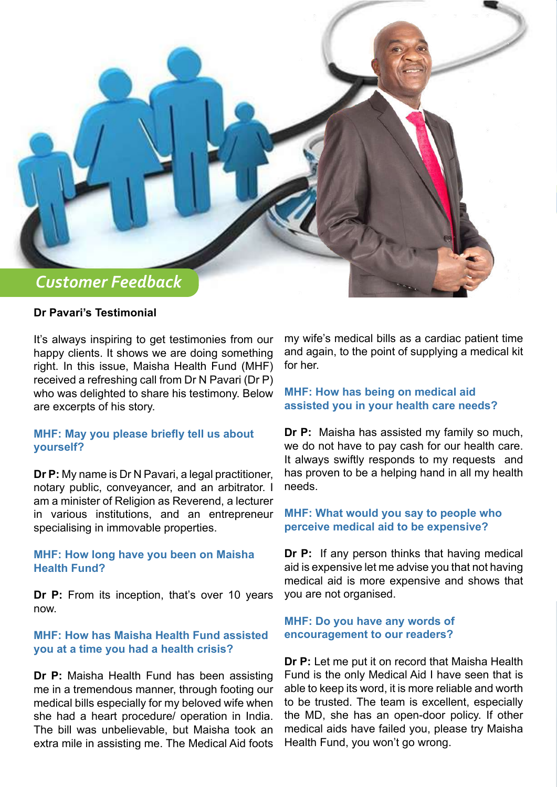

# **Dr Pavari's Testimonial**

It's always inspiring to get testimonies from our happy clients. It shows we are doing something right. In this issue, Maisha Health Fund (MHF) received a refreshing call from Dr N Pavari (Dr P) who was delighted to share his testimony. Below are excerpts of his story.

# **MHF: May you please briefly tell us about yourself?**

**Dr P:** My name is Dr N Pavari, a legal practitioner, notary public, conveyancer, and an arbitrator. I am a minister of Religion as Reverend, a lecturer in various institutions, and an entrepreneur specialising in immovable properties.

# **MHF: How long have you been on Maisha Health Fund?**

**Dr P:** From its inception, that's over 10 years now.

## **MHF: How has Maisha Health Fund assisted you at a time you had a health crisis?**

**Dr P:** Maisha Health Fund has been assisting me in a tremendous manner, through footing our medical bills especially for my beloved wife when she had a heart procedure/ operation in India. The bill was unbelievable, but Maisha took an extra mile in assisting me. The Medical Aid foots my wife's medical bills as a cardiac patient time and again, to the point of supplying a medical kit for her.

# **MHF: How has being on medical aid assisted you in your health care needs?**

**Dr P:** Maisha has assisted my family so much, we do not have to pay cash for our health care. It always swiftly responds to my requests and has proven to be a helping hand in all my health needs.

### **MHF: What would you say to people who perceive medical aid to be expensive?**

**Dr P:** If any person thinks that having medical aid is expensive let me advise you that not having medical aid is more expensive and shows that you are not organised.

#### **MHF: Do you have any words of encouragement to our readers?**

**Dr P:** Let me put it on record that Maisha Health Fund is the only Medical Aid I have seen that is able to keep its word, it is more reliable and worth to be trusted. The team is excellent, especially the MD, she has an open-door policy. If other medical aids have failed you, please try Maisha Health Fund, you won't go wrong.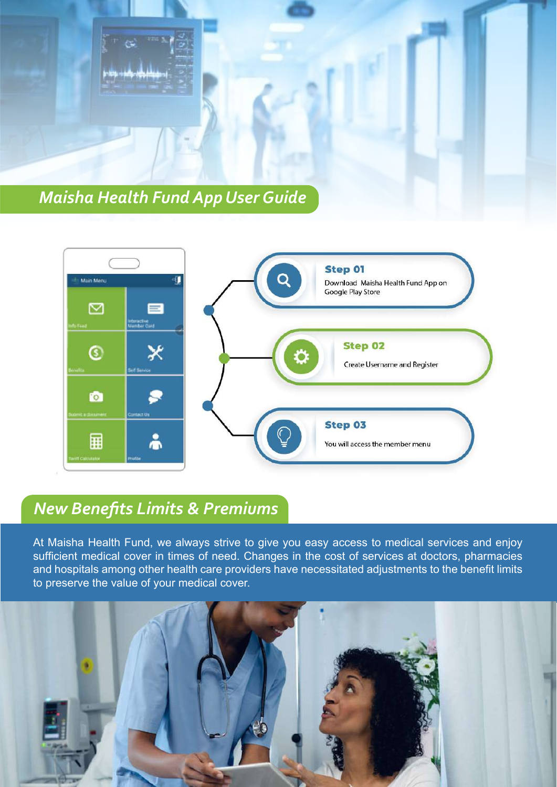



# *New Benefits Limits & Premiums*

At Maisha Health Fund, we always strive to give you easy access to medical services and enjoy sufficient medical cover in times of need. Changes in the cost of services at doctors, pharmacies and hospitals among other health care providers have necessitated adjustments to the benefit limits to preserve the value of your medical cover.

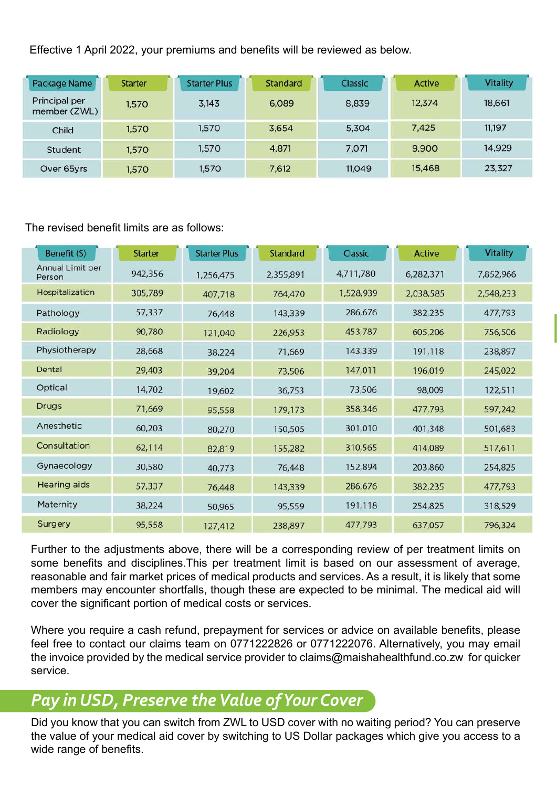Effective 1 April 2022, your premiums and benefits will be reviewed as below.

| Package Name                  | <b>Starter</b> | <b>Starter Plus</b> | Standard | Classic | Active | <b>Vitality</b> |
|-------------------------------|----------------|---------------------|----------|---------|--------|-----------------|
| Principal per<br>member (ZWL) | 1,570          | 3,143               | 6.089    | 8,839   | 12.374 | 18,661          |
| Child                         | 1,570          | 1,570               | 3.654    | 5,304   | 7.425  | 11,197          |
| Student                       | 1,570          | 1,570               | 4,871    | 7,071   | 9.900  | 14,929          |
| Over 65yrs                    | 1,570          | 1,570               | 7.612    | 11.049  | 15,468 | 23,327          |

# The revised benefit limits are as follows:

| Benefit (S)                | <b>Starter</b> | <b>Starter Plus</b> | Standard  | Classic   | <b>Active</b> | <b>Vitality</b> |
|----------------------------|----------------|---------------------|-----------|-----------|---------------|-----------------|
| Annual Limit per<br>Person | 942,356        | 1,256,475           | 2,355,891 | 4,711,780 | 6,282,371     | 7,852,966       |
| Hospitalization            | 305,789        | 407,718             | 764,470   | 1,528,939 | 2,038,585     | 2,548,233       |
| Pathology                  | 57,337         | 76,448              | 143,339   | 286,676   | 382,235       | 477,793         |
| Radiology                  | 90,780         | 121,040             | 226,953   | 453,787   | 605,206       | 756,506         |
| Physiotherapy              | 28,668         | 38,224              | 71,669    | 143,339   | 191,118       | 238,897         |
| Dental                     | 29,403         | 39,204              | 73,506    | 147,011   | 196,019       | 245,022         |
| Optical                    | 14,702         | 19,602              | 36,753    | 73,506    | 98,009        | 122,511         |
| <b>Drugs</b>               | 71,669         | 95,558              | 179,173   | 358,346   | 477,793       | 597,242         |
| Anesthetic                 | 60,203         | 80,270              | 150,505   | 301,010   | 401,348       | 501,683         |
| Consultation               | 62,114         | 82,819              | 155,282   | 310,565   | 414,089       | 517,611         |
| Gynaecology                | 30,580         | 40,773              | 76,448    | 152,894   | 203,860       | 254,825         |
| <b>Hearing aids</b>        | 57,337         | 76,448              | 143,339   | 286,676   | 382,235       | 477,793         |
| Maternity                  | 38,224         | 50,965              | 95,559    | 191,118   | 254,825       | 318,529         |
| Surgery                    | 95,558         | 127,412             | 238,897   | 477,793   | 637,057       | 796,324         |

Further to the adjustments above, there will be a corresponding review of per treatment limits on some benefits and disciplines.This per treatment limit is based on our assessment of average, reasonable and fair market prices of medical products and services. As a result, it is likely that some members may encounter shortfalls, though these are expected to be minimal. The medical aid will cover the significant portion of medical costs or services.

Where you require a cash refund, prepayment for services or advice on available benefits, please feel free to contact our claims team on 0771222826 or 0771222076. Alternatively, you may email the invoice provided by the medical service provider to claims@maishahealthfund.co.zw for quicker service.

# *Pay in USD, Preserve the Value of Your Cover*

Did you know that you can switch from ZWL to USD cover with no waiting period? You can preserve the value of your medical aid cover by switching to US Dollar packages which give you access to a wide range of benefits.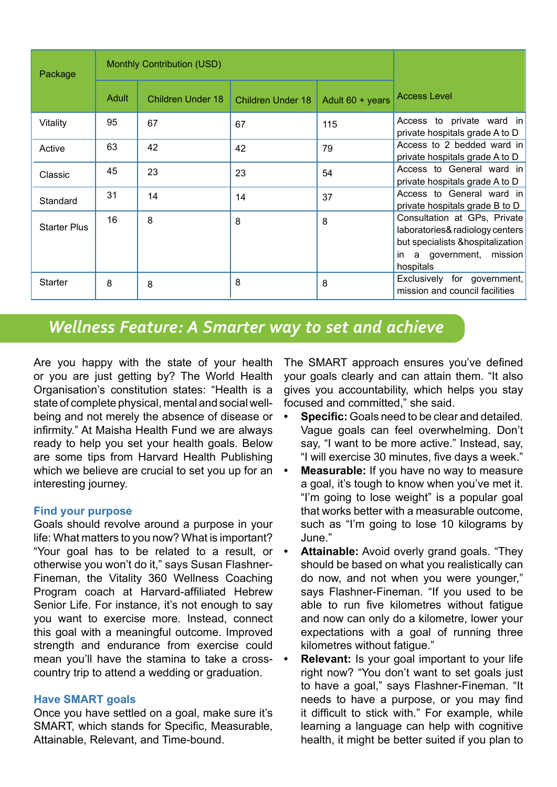| Package             |       | <b>Monthly Contribution (USD)</b> |                          |                  |                                                                                                                                                  |
|---------------------|-------|-----------------------------------|--------------------------|------------------|--------------------------------------------------------------------------------------------------------------------------------------------------|
|                     | Adult | Children Under 18                 | <b>Children Under 18</b> | Adult 60 + years | <b>Access Level</b>                                                                                                                              |
| Vitality            | 95    | 67                                | 67                       | 115              | Access to private ward in<br>private hospitals grade A to D                                                                                      |
| Active              | 63    | 42                                | 42                       | 79               | Access to 2 bedded ward in<br>private hospitals grade A to D                                                                                     |
| Classic             | 45    | 23                                | 23                       | 54               | Access to General ward in<br>private hospitals grade A to D                                                                                      |
| Standard            | 31    | 14                                | 14                       | 37               | Access to General ward in<br>private hospitals grade B to D                                                                                      |
| <b>Starter Plus</b> | 16    | 8                                 | 8                        | 8                | Consultation at GPs, Private<br>laboratories& radiology centers<br>but specialists & hospitalization<br>a government, mission<br>in<br>hospitals |
| <b>Starter</b>      | 8     | 8                                 | 8                        | 8                | Exclusively for government,<br>mission and council facilities                                                                                    |

# *Wellness Feature: A Smarter way to set and achieve*

Are you happy with the state of your health or you are just getting by? The World Health Organisation's constitution states: "Health is a state of complete physical, mental and social wellbeing and not merely the absence of disease or infirmity." At Maisha Health Fund we are always ready to help you set your health goals. Below are some tips from Harvard Health Publishing which we believe are crucial to set you up for an interesting journey.

# **Find your purpose**

Goals should revolve around a purpose in your life: What matters to you now? What is important? "Your goal has to be related to a result, or otherwise you won't do it," says Susan Flashner-Fineman, the Vitality 360 Wellness Coaching Program coach at Harvard-affiliated Hebrew Senior Life. For instance, it's not enough to say you want to exercise more. Instead, connect this goal with a meaningful outcome. Improved strength and endurance from exercise could mean you'll have the stamina to take a cross-  $\cdot$ country trip to attend a wedding or graduation.

# **Have SMART goals**

Once you have settled on a goal, make sure it's SMART, which stands for Specific, Measurable, Attainable, Relevant, and Time-bound.

The SMART approach ensures you've defined your goals clearly and can attain them. "It also gives you accountability, which helps you stay focused and committed," she said.

- **• Specific:** Goals need to be clear and detailed. Vague goals can feel overwhelming. Don't say, "I want to be more active." Instead, say, "I will exercise 30 minutes, five days a week."
- **• Measurable:** If you have no way to measure a goal, it's tough to know when you've met it. "I'm going to lose weight" is a popular goal that works better with a measurable outcome, such as "I'm going to lose 10 kilograms by June."
- **• Attainable:** Avoid overly grand goals. "They should be based on what you realistically can do now, and not when you were younger," says Flashner-Fineman. "If you used to be able to run five kilometres without fatigue and now can only do a kilometre, lower your expectations with a goal of running three kilometres without fatigue."
- **• Relevant:** Is your goal important to your life right now? "You don't want to set goals just to have a goal," says Flashner-Fineman. "It needs to have a purpose, or you may find it difficult to stick with." For example, while learning a language can help with cognitive health, it might be better suited if you plan to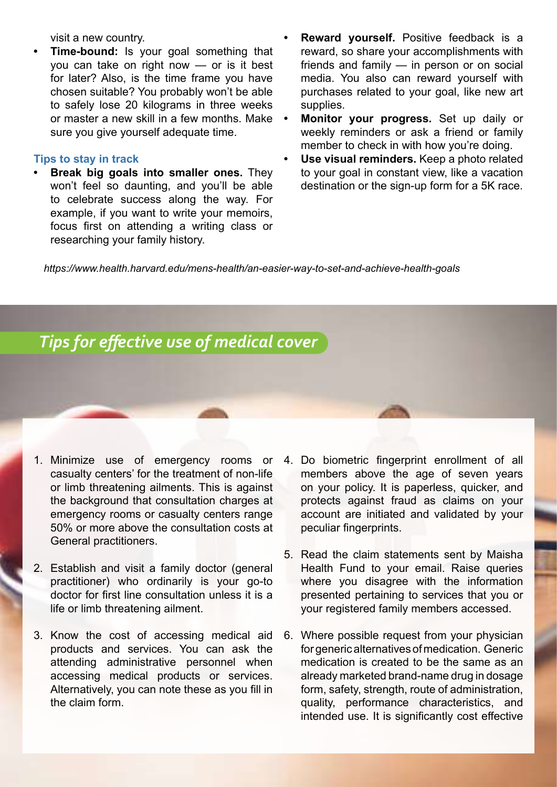visit a new country.

**• Time-bound:** Is your goal something that you can take on right now — or is it best for later? Also, is the time frame you have chosen suitable? You probably won't be able to safely lose 20 kilograms in three weeks or master a new skill in a few months. Make • sure you give yourself adequate time.

#### **Tips to stay in track**

- **• Break big goals into smaller ones.** They won't feel so daunting, and you'll be able to celebrate success along the way. For example, if you want to write your memoirs, focus first on attending a writing class or researching your family history.
- **• Reward yourself.** Positive feedback is a reward, so share your accomplishments with friends and family — in person or on social media. You also can reward yourself with purchases related to your goal, like new art supplies.
- **• Monitor your progress.** Set up daily or weekly reminders or ask a friend or family member to check in with how you're doing.
- **• Use visual reminders.** Keep a photo related to your goal in constant view, like a vacation destination or the sign-up form for a 5K race.

*https://www.health.harvard.edu/mens-health/an-easier-way-to-set-and-achieve-health-goals*

# *Tips for effective use of medical cover*

- 1. Minimize use of emergency rooms or casualty centers' for the treatment of non-life or limb threatening ailments. This is against the background that consultation charges at emergency rooms or casualty centers range 50% or more above the consultation costs at General practitioners.
- 2. Establish and visit a family doctor (general practitioner) who ordinarily is your go-to doctor for first line consultation unless it is a life or limb threatening ailment.
- 3. Know the cost of accessing medical aid products and services. You can ask the attending administrative personnel when accessing medical products or services. Alternatively, you can note these as you fill in the claim form.
- 4. Do biometric fingerprint enrollment of all members above the age of seven years on your policy. It is paperless, quicker, and protects against fraud as claims on your account are initiated and validated by your peculiar fingerprints.
- 5. Read the claim statements sent by Maisha Health Fund to your email. Raise queries where you disagree with the information presented pertaining to services that you or your registered family members accessed.
- 6. Where possible request from your physician for generic alternatives of medication. Generic medication is created to be the same as an already marketed brand-name drug in dosage form, safety, strength, route of administration, quality, performance characteristics, and intended use. It is significantly cost effective